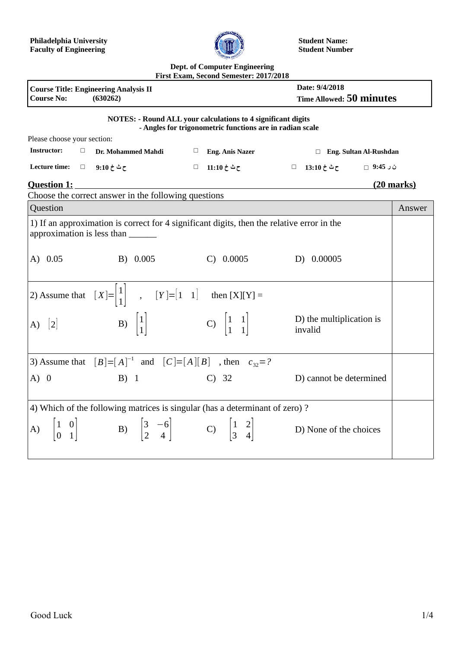

**Student Name: Student Number**

## **Dept. of Computer Engineering First Exam, Second Semester: 2017/2018**

| <b>Course No:</b>                                                                                                               | <b>Course Title: Engineering Analysis II</b><br>(630262)                                             |                                                   | Date: 9/4/2018<br><b>Time Allowed: 50 minutes</b> |        |
|---------------------------------------------------------------------------------------------------------------------------------|------------------------------------------------------------------------------------------------------|---------------------------------------------------|---------------------------------------------------|--------|
| <b>NOTES: - Round ALL your calculations to 4 significant digits</b><br>- Angles for trigonometric functions are in radian scale |                                                                                                      |                                                   |                                                   |        |
| Please choose your section:                                                                                                     |                                                                                                      |                                                   |                                                   |        |
| <b>Instructor:</b><br>$\Box$                                                                                                    | Dr. Mohammed Mahdi                                                                                   | $\Box$ Eng. Anis Nazer                            | □ Eng. Sultan Al-Rushdan                          |        |
| Lecture time:                                                                                                                   | ح ث خ 9:10 ⊥⊡                                                                                        | ح ث خ 11:10 □                                     | ے شاخ 13:10 $\Box$                                |        |
| <b>Question 1:</b><br><u>(20 marks)</u>                                                                                         |                                                                                                      |                                                   |                                                   |        |
| Choose the correct answer in the following questions                                                                            |                                                                                                      |                                                   |                                                   |        |
| Question                                                                                                                        |                                                                                                      |                                                   |                                                   | Answer |
| 1) If an approximation is correct for 4 significant digits, then the relative error in the<br>approximation is less than        |                                                                                                      |                                                   |                                                   |        |
| A) 0.05                                                                                                                         | B) 0.005                                                                                             | C) 0.0005                                         | D) 0.00005                                        |        |
| 2) Assume that $[X]=\begin{vmatrix}1\\1\end{vmatrix}$ , $[Y]=[1\ 1]$ then $[X][Y]=$                                             |                                                                                                      |                                                   |                                                   |        |
| 2 <br>A)                                                                                                                        | B) $\begin{vmatrix} 1 \\ 1 \end{vmatrix}$                                                            | C) $\begin{vmatrix} 1 & 1 \\ 1 & 1 \end{vmatrix}$ | D) the multiplication is<br>invalid               |        |
| 3) Assume that $[B]=[A]^{-1}$ and $[C]=[A][B]$ , then $c_{32}=?$                                                                |                                                                                                      |                                                   |                                                   |        |
| A) 0                                                                                                                            | $B)$ 1                                                                                               | $C)$ 32                                           | D) cannot be determined                           |        |
| 4) Which of the following matrices is singular (has a determinant of zero)?                                                     |                                                                                                      |                                                   |                                                   |        |
| A) $\begin{vmatrix} 1 & 0 \\ 0 & 1 \end{vmatrix}$                                                                               | B) $\begin{bmatrix} 3 & -6 \\ 2 & 4 \end{bmatrix}$ C) $\begin{bmatrix} 1 & 2 \\ 3 & 4 \end{bmatrix}$ |                                                   | D) None of the choices                            |        |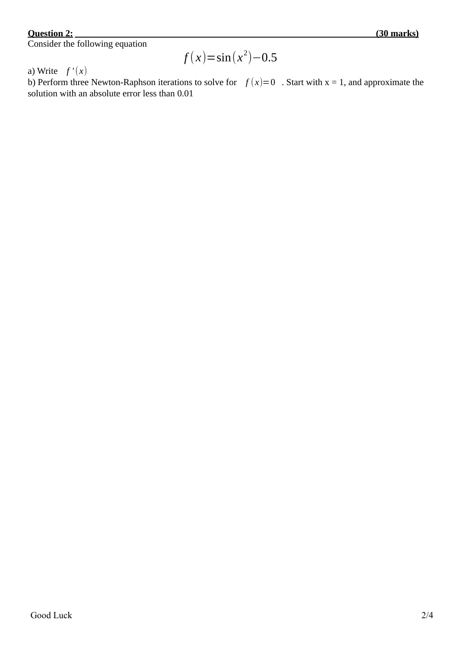## **Question 2:**

Consider the following equation

$$
f(x)=\sin(x^2)-0.5
$$

a) Write  $f'(x)$ 

b) Perform three Newton-Raphson iterations to solve for  $f(x)=0$ . Start with  $x = 1$ , and approximate the solution with an absolute error less than 0.01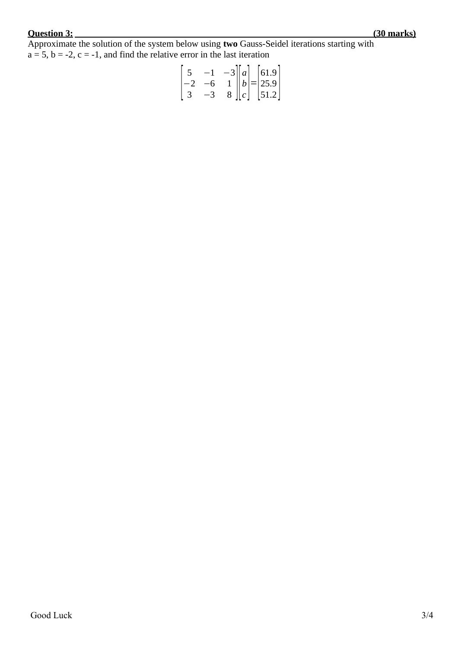## **Question 3: (30 marks)**

Approximate the solution of the system below using **two** Gauss-Seidel iterations starting with  $a = 5$ ,  $b = -2$ ,  $c = -1$ , and find the relative error in the last iteration

$$
\begin{bmatrix} 5 & -1 & -3 \ -2 & -6 & 1 \ 3 & -3 & 8 \ \end{bmatrix} \begin{bmatrix} a \ b \ c \end{bmatrix} = \begin{bmatrix} 61.9 \ 25.9 \ 51.2 \end{bmatrix}
$$